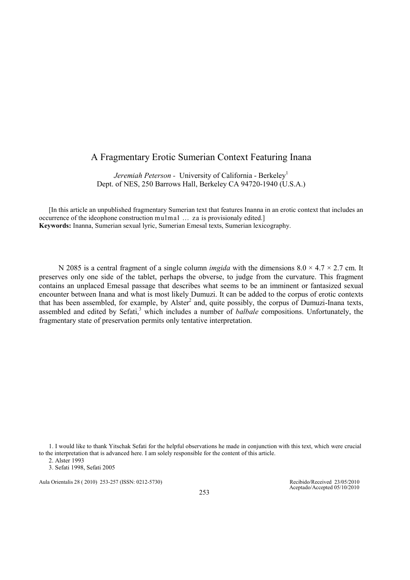## A Fragmentary Erotic Sumerian Context Featuring Inana

Jeremiah Peterson - University of California - Berkeley<sup>1</sup> Dept. of NES, 250 Barrows Hall, Berkeley CA 94720-1940 (U.S.A.)

[In this article an unpublished fragmentary Sumerian text that features Inanna in an erotic context that includes an occurrence of the ideophone construction mulmal … za is provisionaly edited.] Keywords: Inanna, Sumerian sexual lyric, Sumerian Emesal texts, Sumerian lexicography.

N 2085 is a central fragment of a single column *imgida* with the dimensions  $8.0 \times 4.7 \times 2.7$  cm. It preserves only one side of the tablet, perhaps the obverse, to judge from the curvature. This fragment contains an unplaced Emesal passage that describes what seems to be an imminent or fantasized sexual encounter between Inana and what is most likely Dumuzi. It can be added to the corpus of erotic contexts that has been assembled, for example, by Alster<sup>2</sup> and, quite possibly, the corpus of Dumuzi-Inana texts, assembled and edited by Sefati,<sup>3</sup> which includes a number of *balbale* compositions. Unfortunately, the fragmentary state of preservation permits only tentative interpretation.

1. I would like to thank Yitschak Sefati for the helpful observations he made in conjunction with this text, which were crucial to the interpretation that is advanced here. I am solely responsible for the content of this article.

2. Alster 1993

3. Sefati 1998, Sefati 2005

Aula Orientalis 28 ( 2010) 253-257 (ISSN: 0212-5730) Recibido/Received 23/05/2010

Aceptado/Accepted 05/10/2010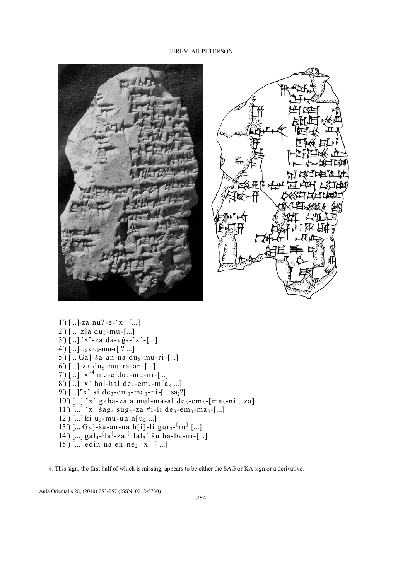



 $1')$  [...]-za nu?-e- $x$  [...]  $2')$  [... z]a du<sub>5</sub>-mu-[...]  $3')$ [...]  $x'$ -za da-aĝ<sub>2</sub>- $x'$ -[...] 4')  $[...]$  u<sub>5</sub> du<sub>5</sub>-mu-r[i? ...]  $5'$ ) [... Ga]-ša-an-na du<sub>5</sub>-mu-ri-[...] 6') [...]-za du<sub>5</sub>-mu-ra-an-[...]  $7')$ [...]  $x^{-4}$  me-e du<sub>5</sub>-mu-ni-[...]  $8'$ ) [...]  $x'$  hal-hal de<sub>3</sub>-em<sub>3</sub>-m[a<sub>3</sub> ...] 9')  $[...]^{r}$ x<sup>-</sup> si de<sub>3</sub>-em<sub>3</sub>-ma<sub>3</sub>-ni- $[...$  sa<sub>2</sub>?]  $10$ <sup>'</sup>) [...]  $x$ <sup>'</sup> gaba-za a mul-ma-al de<sub>3</sub>-em<sub>3</sub>-[ma<sub>3</sub>-ni...za]  $11')$ [...]  $x'$  šag<sub>4</sub> sug<sub>4</sub>-za #i-li de<sub>3</sub>-em<sub>3</sub>-ma<sub>3</sub>-[...] 12') [...] ki u<sub>3</sub>-mu-un n[u<sub>2</sub> ...]  $13')$ [... Ga]-ša-an-na h[i]-li gur<sub>3</sub>-<sup>[</sup>ru<sup>]</sup>[...]  $14^{\circ}$ [...] gal<sub>4</sub>-<sup>[</sup>la<sup>]</sup>-za <sup>[-</sup>lal<sub>3</sub>] šu ha-ba-ni-[...]  $15'$ ) [...] edin-na en-ne<sub>2</sub>  $x'[$  ...]

4. This sign, the first half of which is missing, appears to be either the SAG or KA sign or a derivative.

Aula Orientalis 28, (2010) 253-257 (ISSN: 0212-5730)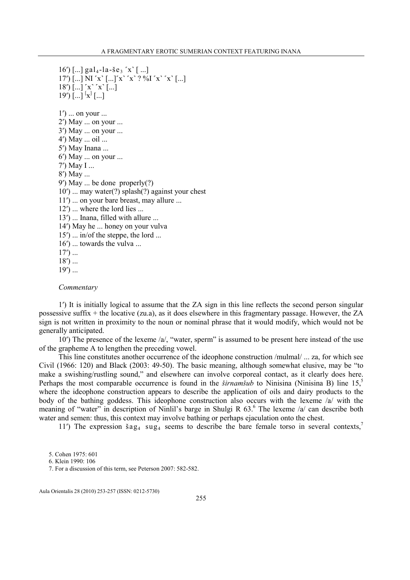```
16') [...] gal<sub>4</sub>-la-še<sub>3</sub> x<sup>'</sup> [...]
17') [...] NI x' [...]x'x'2\% x'x' [...]
18' \lceil ... \rceil x \rceil x \rceil \lceil ... \rceil19') \left[...\right] \left[x\right] \left[...\right]1') ... on your ...
2ʹ) May ... on your ... 
3ʹ) May ... on your ... 
4ʹ) May ... oil ... 
5ʹ) May Inana ... 
6') May ... on your ...
7ʹ) May I ... 
8ʹ) May ... 
9ʹ) May ... be done properly(?) 
10ʹ) ... may water(?) splash(?) against your chest 
11<sup>'</sup>) ... on your bare breast, may allure ...
12ʹ) ... where the lord lies ... 
13<sup>'</sup>) ... Inana, filled with allure ...
14ʹ) May he ... honey on your vulva
15') ... in/of the steppe, the lord ...
16') ... towards the vulva ...
17') ...
18') ...
19') ...
```
**Commentary** 

1ʹ) It is initially logical to assume that the ZA sign in this line reflects the second person singular possessive suffix + the locative (zu.a), as it does elsewhere in this fragmentary passage. However, the ZA sign is not written in proximity to the noun or nominal phrase that it would modify, which would not be generally anticipated.

10ʹ) The presence of the lexeme /a/, "water, sperm" is assumed to be present here instead of the use of the grapheme A to lengthen the preceding vowel.

This line constitutes another occurrence of the ideophone construction /mulmal/ ... za, for which see Civil (1966: 120) and Black (2003: 49-50). The basic meaning, although somewhat elusive, may be "to make a swishing/rustling sound," and elsewhere can involve corporeal contact, as it clearly does here. Perhaps the most comparable occurrence is found in the *širnamšub* to Ninisina (Ninisina B) line  $15<sup>5</sup>$ where the ideophone construction appears to describe the application of oils and dairy products to the body of the bathing goddess. This ideophone construction also occurs with the lexeme /a/ with the meaning of "water" in description of Ninlil's barge in Shulgi R 63.<sup>6</sup> The lexeme /a/ can describe both water and semen: thus, this context may involve bathing or perhaps ejaculation onto the chest.

11<sup>'</sup>) The expression  $\frac{2}{3}a_{4}$  sug<sub>4</sub> seems to describe the bare female torso in several contexts,<sup>7</sup>

Aula Orientalis 28 (2010) 253-257 (ISSN: 0212-5730)

<sup>5.</sup> Cohen 1975: 601

<sup>6.</sup> Klein 1990: 106

<sup>7.</sup> For a discussion of this term, see Peterson 2007: 582-582.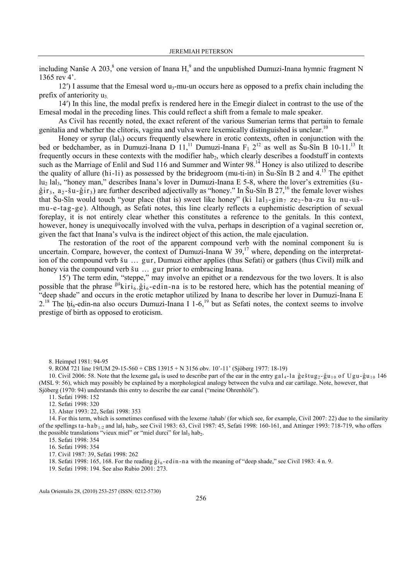including Nanše A 203, $^8$  one version of Inana H, $^9$  and the unpublished Dumuzi-Inana hymnic fragment N 1365 rev 4'.

 $12'$ ) I assume that the Emesal word u<sub>3</sub>-mu-un occurs here as opposed to a prefix chain including the prefix of anteriority  $u_3$ .

14ʹ) In this line, the modal prefix is rendered here in the Emegir dialect in contrast to the use of the Emesal modal in the preceding lines. This could reflect a shift from a female to male speaker.

As Civil has recently noted, the exact referent of the various Sumerian terms that pertain to female genitalia and whether the clitoris, vagina and vulva were lexemically distinguished is unclear.<sup>10</sup>

Honey or syrup  $(\mathrm{la} \mathbf{l}_3)$  occurs frequently elsewhere in erotic contexts, often in conjunction with the bed or bedchamber, as in Dumuzi-Inana D  $11$ ,<sup>11</sup> Dumuzi-Inana  $F_1$   $2^{12}$  as well as  $\text{Su-Sin } B$  10-11.<sup>13</sup> It frequently occurs in these contexts with the modifier hab<sub>2</sub>, which clearly describes a foodstuff in contexts such as the Marriage of Enlil and Sud 116 and Summer and Winter 98.<sup>14</sup> Honey is also utilized to describe the quality of allure (hi-li) as possessed by the bridegroom (mu-ti-in) in  $\text{\r{S}}u\text{-S}\hat{\text{S}}n$  B 2 and 4.<sup>15</sup> The epithet lu<sub>2</sub> lal<sub>3</sub>, "honey man," describes Inana's lover in Dumuzi-Inana E 5-8, where the lover's extremities (šu- $\hat{g}$ ir<sub>3</sub>,  $a_2$ -šu- $\hat{g}$ ir<sub>3</sub>) are further described adjectivally as "honey." In Šu-Sîn B 27,<sup>16</sup> the female lover wishes that Šu-Sîn would touch "your place (that is) sweet like honey" (ki lal<sub>3</sub>-gin<sub>7</sub> ze<sub>2</sub>-ba-zu šu nu-ušmu-e-tag-ge). Although, as Sefati notes, this line clearly reflects a euphemistic description of sexual foreplay, it is not entirely clear whether this constitutes a reference to the genitals. In this context, however, honey is unequivocally involved with the vulva, perhaps in description of a vaginal secretion or, given the fact that Inana's vulva is the indirect object of this action, the male ejaculation.

The restoration of the root of the apparent compound verb with the nominal component šu is uncertain. Compare, however, the context of Dumuzi-Inana W 39,<sup>17</sup> where, depending on the interpretation of the compound verb šu ... gur, Dumuzi either applies (thus Sefati) or gathers (thus Civil) milk and honey via the compound verb šu ... gur prior to embracing Inana.

15ʹ) The term edin, "steppe," may involve an epithet or a rendezvous for the two lovers. It is also possible that the phrase  $\frac{\hat{g}i\hat{s}}{i}$ kiri<sub>6</sub>.  $\hat{g}i_6$ -edin-na is to be restored here, which has the potential meaning of "deep shade" and occurs in the erotic metaphor utilized by Inana to describe her lover in Dumuzi-Inana E  $2^{18}$  The hi<sub>6</sub>-edin-na also occurs Dumuzi-Inana I 1-6,<sup>19</sup> but as Sefati notes, the context seems to involve prestige of birth as opposed to eroticism.

9. ROM 721 line 19/UM 29-15-560 + CBS 13915 + N 3156 obv. 10'-11' (Sjöberg 1977: 18-19)

10. Civil 2006: 58. Note that the lexeme gal<sub>4</sub> is used to describe part of the ear in the entry gal<sub>4</sub>-la ĝeštug<sub>2</sub>-ĝu<sub>10</sub> of Ugu-ĝu<sub>10</sub> 146 (MSL 9: 56), which may possibly be explained by a morphological analogy between the vulva and ear cartilage. Note, however, that Sjöberg (1970: 94) understands this entry to describe the ear canal ("meine Ohrenhöle").

11. Sefati 1998: 152

12. Sefati 1998: 320

13. Alster 1993: 22, Sefati 1998: 353

14. For this term, which is sometimes confused with the lexeme /tahab/ (for which see, for example, Civil 2007: 22) due to the similarity of the spellings ta-hab<sub>1/2</sub> and lal<sub>3</sub> hab<sub>2</sub>, see Civil 1983: 63, Civil 1987: 45, Sefati 1998: 160-161, and Attinger 1993: 718-719, who offers the possible translations "vieux miel" or "miel durci" for  $\text{la}_{13} \text{ hab}_{2}$ .

15. Sefati 1998: 354

16. Sefati 1998: 354

17. Civil 1987: 39, Sefati 1998: 262

18. Sefati 1998: 165, 168. For the reading  $\hat{g}i_6$ -edin-na with the meaning of "deep shade," see Civil 1983: 4 n. 9.

19. Sefati 1998: 194. See also Rubio 2001: 273.

Aula Orientalis 28, (2010) 253-257 (ISSN: 0212-5730)

<sup>8.</sup> Heimpel 1981: 94-95